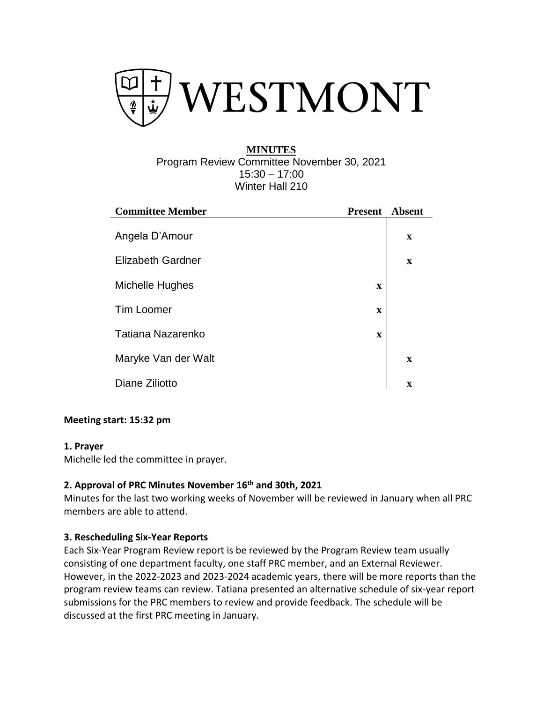

## **MINUTES** Program Review Committee November 30, 2021 15:30 – 17:00 Winter Hall 210

| <b>Committee Member</b>  | <b>Present</b> | <b>Absent</b> |
|--------------------------|----------------|---------------|
| Angela D'Amour           |                | $\mathbf X$   |
| <b>Elizabeth Gardner</b> |                | $\mathbf X$   |
| Michelle Hughes          | $\mathbf X$    |               |
| <b>Tim Loomer</b>        | $\mathbf X$    |               |
| Tatiana Nazarenko        | $\mathbf X$    |               |
| Maryke Van der Walt      |                | $\mathbf x$   |
| Diane Ziliotto           |                | $\mathbf x$   |

# **Meeting start: 15:32 pm**

#### **1. Prayer**

Michelle led the committee in prayer.

## **2. Approval of PRC Minutes November 16th and 30th, 2021**

Minutes for the last two working weeks of November will be reviewed in January when all PRC members are able to attend.

#### **3. Rescheduling Six-Year Reports**

Each Six-Year Program Review report is be reviewed by the Program Review team usually consisting of one department faculty, one staff PRC member, and an External Reviewer. However, in the 2022-2023 and 2023-2024 academic years, there will be more reports than the program review teams can review. Tatiana presented an alternative schedule of six-year report submissions for the PRC members to review and provide feedback. The schedule will be discussed at the first PRC meeting in January.